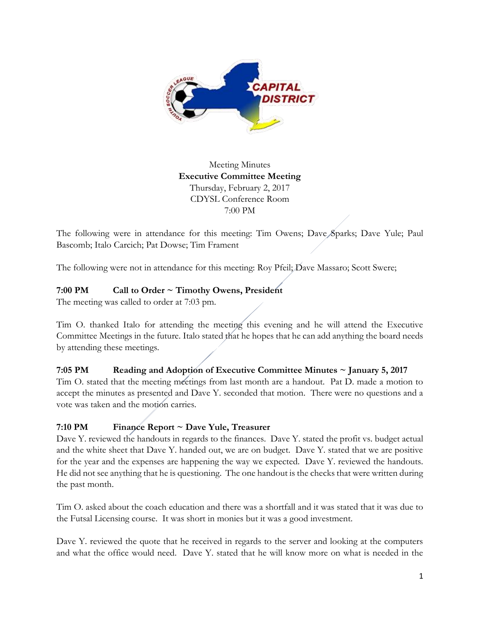

Meeting Minutes **Executive Committee Meeting**  Thursday, February 2, 2017 CDYSL Conference Room 7:00 PM

The following were in attendance for this meeting: Tim Owens; Dave Sparks; Dave Yule; Paul Bascomb; Italo Carcich; Pat Dowse; Tim Frament

The following were not in attendance for this meeting: Roy Pfeil; Dave Massaro; Scott Swere;

## **7:00 PM Call to Order ~ Timothy Owens, President**

The meeting was called to order at 7:03 pm.

Tim O. thanked Italo for attending the meeting this evening and he will attend the Executive Committee Meetings in the future. Italo stated that he hopes that he can add anything the board needs by attending these meetings.

#### **7:05 PM Reading and Adoption of Executive Committee Minutes ~ January 5, 2017**

Tim O. stated that the meeting meetings from last month are a handout. Pat D. made a motion to accept the minutes as presented and Dave Y. seconded that motion. There were no questions and a vote was taken and the motion carries.

## **7:10 PM Finance Report ~ Dave Yule, Treasurer**

Dave Y. reviewed the handouts in regards to the finances. Dave Y. stated the profit vs. budget actual and the white sheet that Dave Y. handed out, we are on budget. Dave Y. stated that we are positive for the year and the expenses are happening the way we expected. Dave Y. reviewed the handouts. He did not see anything that he is questioning. The one handout is the checks that were written during the past month.

Tim O. asked about the coach education and there was a shortfall and it was stated that it was due to the Futsal Licensing course. It was short in monies but it was a good investment.

Dave Y. reviewed the quote that he received in regards to the server and looking at the computers and what the office would need. Dave Y. stated that he will know more on what is needed in the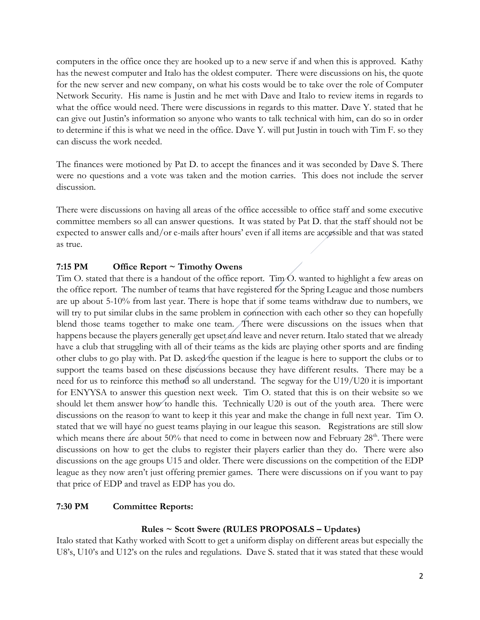computers in the office once they are hooked up to a new serve if and when this is approved. Kathy has the newest computer and Italo has the oldest computer. There were discussions on his, the quote for the new server and new company, on what his costs would be to take over the role of Computer Network Security. His name is Justin and he met with Dave and Italo to review items in regards to what the office would need. There were discussions in regards to this matter. Dave Y. stated that he can give out Justin's information so anyone who wants to talk technical with him, can do so in order to determine if this is what we need in the office. Dave Y. will put Justin in touch with Tim F. so they can discuss the work needed.

The finances were motioned by Pat D. to accept the finances and it was seconded by Dave S. There were no questions and a vote was taken and the motion carries. This does not include the server discussion.

There were discussions on having all areas of the office accessible to office staff and some executive committee members so all can answer questions. It was stated by Pat D. that the staff should not be expected to answer calls and/or e-mails after hours' even if all items are accessible and that was stated as true.

## **7:15 PM Office Report ~ Timothy Owens**

Tim O. stated that there is a handout of the office report. Tim O. wanted to highlight a few areas on the office report. The number of teams that have registered for the Spring League and those numbers are up about 5-10% from last year. There is hope that if some teams withdraw due to numbers, we will try to put similar clubs in the same problem in connection with each other so they can hopefully blend those teams together to make one team. There were discussions on the issues when that happens because the players generally get upset and leave and never return. Italo stated that we already have a club that struggling with all of their teams as the kids are playing other sports and are finding other clubs to go play with. Pat D. asked the question if the league is here to support the clubs or to support the teams based on these discussions because they have different results. There may be a need for us to reinforce this method so all understand. The segway for the U19/U20 it is important for ENYYSA to answer this question next week. Tim O. stated that this is on their website so we should let them answer how to handle this. Technically U20 is out of the youth area. There were discussions on the reason to want to keep it this year and make the change in full next year. Tim O. stated that we will have no guest teams playing in our league this season. Registrations are still slow which means there are about 50% that need to come in between now and February  $28<sup>th</sup>$ . There were discussions on how to get the clubs to register their players earlier than they do. There were also discussions on the age groups U15 and older. There were discussions on the competition of the EDP league as they now aren't just offering premier games. There were discussions on if you want to pay that price of EDP and travel as EDP has you do.

#### **7:30 PM Committee Reports:**

#### **Rules ~ Scott Swere (RULES PROPOSALS – Updates)**

Italo stated that Kathy worked with Scott to get a uniform display on different areas but especially the U8's, U10's and U12's on the rules and regulations. Dave S. stated that it was stated that these would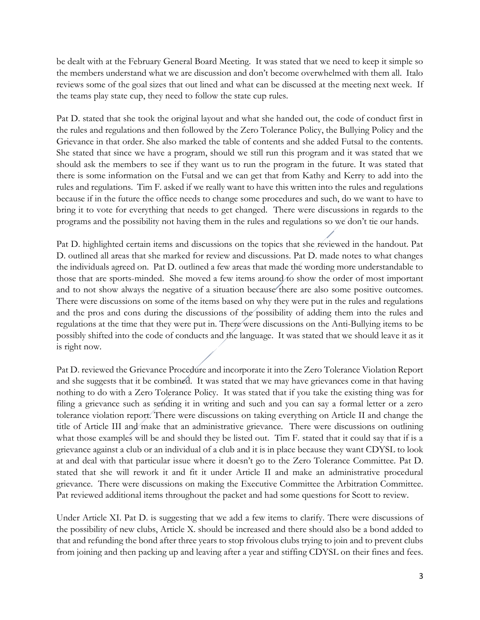be dealt with at the February General Board Meeting. It was stated that we need to keep it simple so the members understand what we are discussion and don't become overwhelmed with them all. Italo reviews some of the goal sizes that out lined and what can be discussed at the meeting next week. If the teams play state cup, they need to follow the state cup rules.

Pat D. stated that she took the original layout and what she handed out, the code of conduct first in the rules and regulations and then followed by the Zero Tolerance Policy, the Bullying Policy and the Grievance in that order. She also marked the table of contents and she added Futsal to the contents. She stated that since we have a program, should we still run this program and it was stated that we should ask the members to see if they want us to run the program in the future. It was stated that there is some information on the Futsal and we can get that from Kathy and Kerry to add into the rules and regulations. Tim F. asked if we really want to have this written into the rules and regulations because if in the future the office needs to change some procedures and such, do we want to have to bring it to vote for everything that needs to get changed. There were discussions in regards to the programs and the possibility not having them in the rules and regulations so we don't tie our hands.

Pat D. highlighted certain items and discussions on the topics that she reviewed in the handout. Pat D. outlined all areas that she marked for review and discussions. Pat D. made notes to what changes the individuals agreed on. Pat D. outlined a few areas that made the wording more understandable to those that are sports-minded. She moved a few items around to show the order of most important and to not show always the negative of a situation because there are also some positive outcomes. There were discussions on some of the items based on why they were put in the rules and regulations and the pros and cons during the discussions of the possibility of adding them into the rules and regulations at the time that they were put in. There were discussions on the Anti-Bullying items to be possibly shifted into the code of conducts and the language. It was stated that we should leave it as it is right now.

Pat D. reviewed the Grievance Procedure and incorporate it into the Zero Tolerance Violation Report and she suggests that it be combined. It was stated that we may have grievances come in that having nothing to do with a Zero Tolerance Policy. It was stated that if you take the existing thing was for filing a grievance such as sending it in writing and such and you can say a formal letter or a zero tolerance violation report. There were discussions on taking everything on Article II and change the title of Article III and make that an administrative grievance. There were discussions on outlining what those examples will be and should they be listed out. Tim F. stated that it could say that if is a grievance against a club or an individual of a club and it is in place because they want CDYSL to look at and deal with that particular issue where it doesn't go to the Zero Tolerance Committee. Pat D. stated that she will rework it and fit it under Article II and make an administrative procedural grievance. There were discussions on making the Executive Committee the Arbitration Committee. Pat reviewed additional items throughout the packet and had some questions for Scott to review.

Under Article XI. Pat D. is suggesting that we add a few items to clarify. There were discussions of the possibility of new clubs, Article X. should be increased and there should also be a bond added to that and refunding the bond after three years to stop frivolous clubs trying to join and to prevent clubs from joining and then packing up and leaving after a year and stiffing CDYSL on their fines and fees.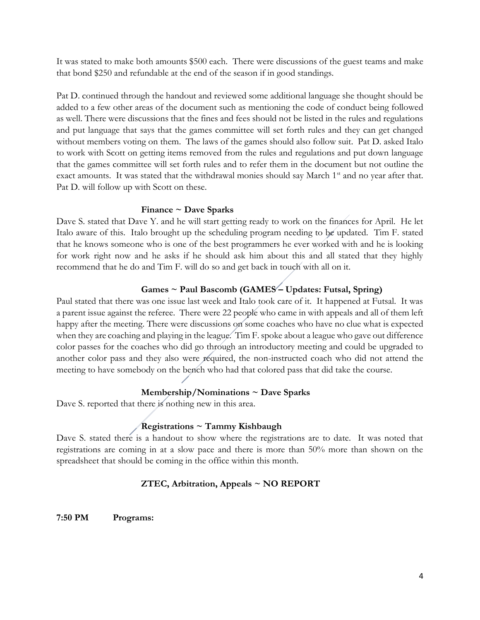It was stated to make both amounts \$500 each. There were discussions of the guest teams and make that bond \$250 and refundable at the end of the season if in good standings.

Pat D. continued through the handout and reviewed some additional language she thought should be added to a few other areas of the document such as mentioning the code of conduct being followed as well. There were discussions that the fines and fees should not be listed in the rules and regulations and put language that says that the games committee will set forth rules and they can get changed without members voting on them. The laws of the games should also follow suit. Pat D. asked Italo to work with Scott on getting items removed from the rules and regulations and put down language that the games committee will set forth rules and to refer them in the document but not outline the exact amounts. It was stated that the withdrawal monies should say March 1<sup>st</sup> and no year after that. Pat D. will follow up with Scott on these.

### **Finance ~ Dave Sparks**

Dave S. stated that Dave Y. and he will start getting ready to work on the finances for April. He let Italo aware of this. Italo brought up the scheduling program needing to be updated. Tim F. stated that he knows someone who is one of the best programmers he ever worked with and he is looking for work right now and he asks if he should ask him about this and all stated that they highly recommend that he do and Tim F. will do so and get back in touch with all on it.

# **Games ~ Paul Bascomb (GAMES – Updates: Futsal, Spring)**

Paul stated that there was one issue last week and Italo took care of it. It happened at Futsal. It was a parent issue against the referee. There were 22 people who came in with appeals and all of them left happy after the meeting. There were discussions on some coaches who have no clue what is expected when they are coaching and playing in the league. Tim F. spoke about a league who gave out difference color passes for the coaches who did go through an introductory meeting and could be upgraded to another color pass and they also were required, the non-instructed coach who did not attend the meeting to have somebody on the bench who had that colored pass that did take the course.

#### **Membership/Nominations ~ Dave Sparks**

Dave S. reported that there is nothing new in this area.

# **Registrations ~ Tammy Kishbaugh**

Dave S. stated there is a handout to show where the registrations are to date. It was noted that registrations are coming in at a slow pace and there is more than 50% more than shown on the spreadsheet that should be coming in the office within this month.

## **ZTEC, Arbitration, Appeals ~ NO REPORT**

**7:50 PM Programs:**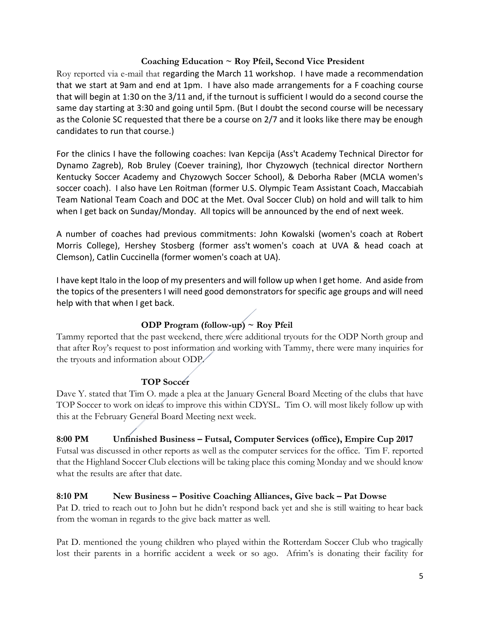### **Coaching Education ~ Roy Pfeil, Second Vice President**

Roy reported via e-mail that regarding the March 11 workshop. I have made a recommendation that we start at 9am and end at 1pm. I have also made arrangements for a F coaching course that will begin at 1:30 on the 3/11 and, if the turnout is sufficient I would do a second course the same day starting at 3:30 and going until 5pm. (But I doubt the second course will be necessary as the Colonie SC requested that there be a course on 2/7 and it looks like there may be enough candidates to run that course.)

For the clinics I have the following coaches: Ivan Kepcija (Ass't Academy Technical Director for Dynamo Zagreb), Rob Bruley (Coever training), Ihor Chyzowych (technical director Northern Kentucky Soccer Academy and Chyzowych Soccer School), & Deborha Raber (MCLA women's soccer coach). I also have Len Roitman (former U.S. Olympic Team Assistant Coach, Maccabiah Team National Team Coach and DOC at the Met. Oval Soccer Club) on hold and will talk to him when I get back on Sunday/Monday. All topics will be announced by the end of next week.

A number of coaches had previous commitments: John Kowalski (women's coach at Robert Morris College), Hershey Stosberg (former ass't women's coach at UVA & head coach at Clemson), Catlin Cuccinella (former women's coach at UA).

I have kept Italo in the loop of my presenters and will follow up when I get home. And aside from the topics of the presenters I will need good demonstrators for specific age groups and will need help with that when I get back.

# **ODP Program (follow-up) ~ Roy Pfeil**

Tammy reported that the past weekend, there were additional tryouts for the ODP North group and that after Roy's request to post information and working with Tammy, there were many inquiries for the tryouts and information about ODP.

## **TOP Soccer**

Dave Y. stated that Tim O. made a plea at the January General Board Meeting of the clubs that have TOP Soccer to work on ideas to improve this within CDYSL. Tim O. will most likely follow up with this at the February General Board Meeting next week.

# **8:00 PM Unfinished Business – Futsal, Computer Services (office), Empire Cup 2017** Futsal was discussed in other reports as well as the computer services for the office. Tim F. reported

that the Highland Soccer Club elections will be taking place this coming Monday and we should know what the results are after that date.

## **8:10 PM New Business – Positive Coaching Alliances, Give back – Pat Dowse**

Pat D. tried to reach out to John but he didn't respond back yet and she is still waiting to hear back from the woman in regards to the give back matter as well.

Pat D. mentioned the young children who played within the Rotterdam Soccer Club who tragically lost their parents in a horrific accident a week or so ago. Afrim's is donating their facility for